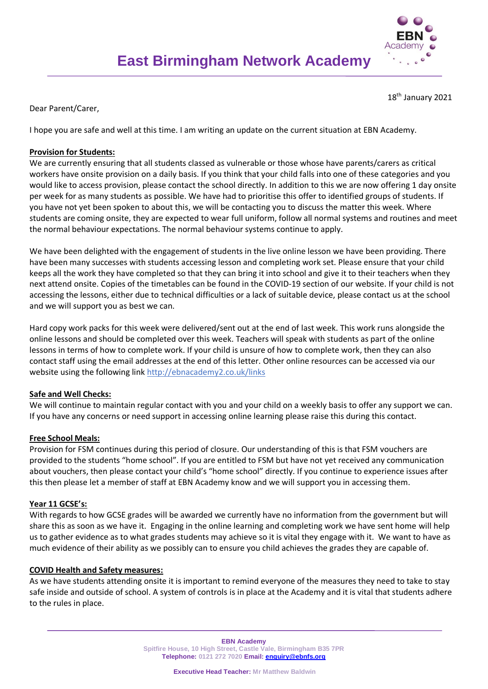

Dear Parent/Carer,

18th January 2021

I hope you are safe and well at this time. I am writing an update on the current situation at EBN Academy.

## **Provision for Students:**

We are currently ensuring that all students classed as vulnerable or those whose have parents/carers as critical workers have onsite provision on a daily basis. If you think that your child falls into one of these categories and you would like to access provision, please contact the school directly. In addition to this we are now offering 1 day onsite per week for as many students as possible. We have had to prioritise this offer to identified groups of students. If you have not yet been spoken to about this, we will be contacting you to discuss the matter this week. Where students are coming onsite, they are expected to wear full uniform, follow all normal systems and routines and meet the normal behaviour expectations. The normal behaviour systems continue to apply.

We have been delighted with the engagement of students in the live online lesson we have been providing. There have been many successes with students accessing lesson and completing work set. Please ensure that your child keeps all the work they have completed so that they can bring it into school and give it to their teachers when they next attend onsite. Copies of the timetables can be found in the COVID-19 section of our website. If your child is not accessing the lessons, either due to technical difficulties or a lack of suitable device, please contact us at the school and we will support you as best we can.

Hard copy work packs for this week were delivered/sent out at the end of last week. This work runs alongside the online lessons and should be completed over this week. Teachers will speak with students as part of the online lessons in terms of how to complete work. If your child is unsure of how to complete work, then they can also contact staff using the email addresses at the end of this letter. Other online resources can be accessed via our website using the following link http://ebnacademy2.co.uk/links

### **Safe and Well Checks:**

We will continue to maintain regular contact with you and your child on a weekly basis to offer any support we can. If you have any concerns or need support in accessing online learning please raise this during this contact.

### **Free School Meals:**

Provision for FSM continues during this period of closure. Our understanding of this is that FSM vouchers are provided to the students "home school". If you are entitled to FSM but have not yet received any communication about vouchers, then please contact your child's "home school" directly. If you continue to experience issues after this then please let a member of staff at EBN Academy know and we will support you in accessing them.

### **Year 11 GCSE's:**

With regards to how GCSE grades will be awarded we currently have no information from the government but will share this as soon as we have it. Engaging in the online learning and completing work we have sent home will help us to gather evidence as to what grades students may achieve so it is vital they engage with it. We want to have as much evidence of their ability as we possibly can to ensure you child achieves the grades they are capable of.

### **COVID Health and Safety measures:**

As we have students attending onsite it is important to remind everyone of the measures they need to take to stay safe inside and outside of school. A system of controls is in place at the Academy and it is vital that students adhere to the rules in place.

> **EBN Academy Spitfire House, 10 High Street, Castle Vale, Birmingham B35 7PR Telephone: 0121 272 7020 Email: [enquiry@ebnfs.org](mailto:enquiry@ebnfs.org)**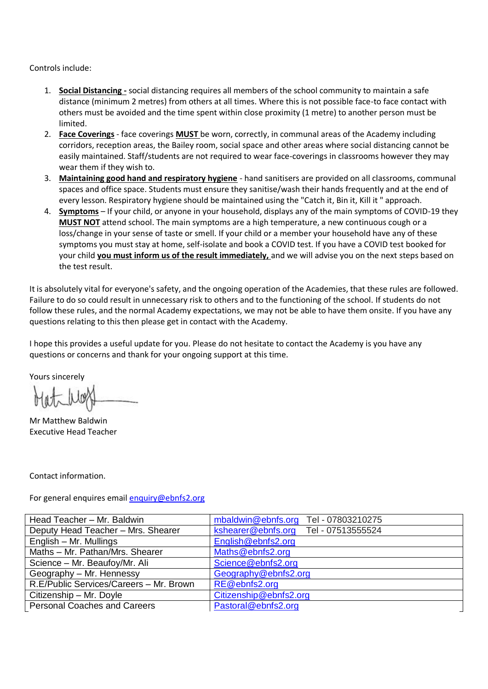Controls include:

- 1. **Social Distancing -** social distancing requires all members of the school community to maintain a safe distance (minimum 2 metres) from others at all times. Where this is not possible face-to face contact with others must be avoided and the time spent within close proximity (1 metre) to another person must be limited.
- 2. **Face Coverings** face coverings **MUST** be worn, correctly, in communal areas of the Academy including corridors, reception areas, the Bailey room, social space and other areas where social distancing cannot be easily maintained. Staff/students are not required to wear face-coverings in classrooms however they may wear them if they wish to.
- 3. **Maintaining good hand and respiratory hygiene** hand sanitisers are provided on all classrooms, communal spaces and office space. Students must ensure they sanitise/wash their hands frequently and at the end of every lesson. Respiratory hygiene should be maintained using the "Catch it, Bin it, Kill it " approach.
- 4. **Symptoms** If your child, or anyone in your household, displays any of the main symptoms of COVID-19 they **MUST NOT** attend school. The main symptoms are a high temperature, a new continuous cough or a loss/change in your sense of taste or smell. If your child or a member your household have any of these symptoms you must stay at home, self-isolate and book a COVID test. If you have a COVID test booked for your child **you must inform us of the result immediately,** and we will advise you on the next steps based on the test result.

It is absolutely vital for everyone's safety, and the ongoing operation of the Academies, that these rules are followed. Failure to do so could result in unnecessary risk to others and to the functioning of the school. If students do not follow these rules, and the normal Academy expectations, we may not be able to have them onsite. If you have any questions relating to this then please get in contact with the Academy.

I hope this provides a useful update for you. Please do not hesitate to contact the Academy is you have any questions or concerns and thank for your ongoing support at this time.

Yours sincerely

Mr Matthew Baldwin Executive Head Teacher

Contact information.

For general enquires emai[l enquiry@ebnfs2.org](mailto:enquiry@ebnfs2.org)

| Head Teacher - Mr. Baldwin              | mbaldwin@ebnfs.org<br>Tel - 07803210275 |
|-----------------------------------------|-----------------------------------------|
| Deputy Head Teacher - Mrs. Shearer      | kshearer@ebnfs.org<br>Tel - 07513555524 |
| English - Mr. Mullings                  | English@ebnfs2.org                      |
| Maths - Mr. Pathan/Mrs. Shearer         | Maths@ebnfs2.org                        |
| Science - Mr. Beaufoy/Mr. Ali           | Science@ebnfs2.org                      |
| Geography - Mr. Hennessy                | Geography@ebnfs2.org                    |
| R.E/Public Services/Careers - Mr. Brown | RE@ebnfs2.org                           |
| Citizenship - Mr. Doyle                 | Citizenship@ebnfs2.org                  |
| <b>Personal Coaches and Careers</b>     | Pastoral@ebnfs2.org                     |